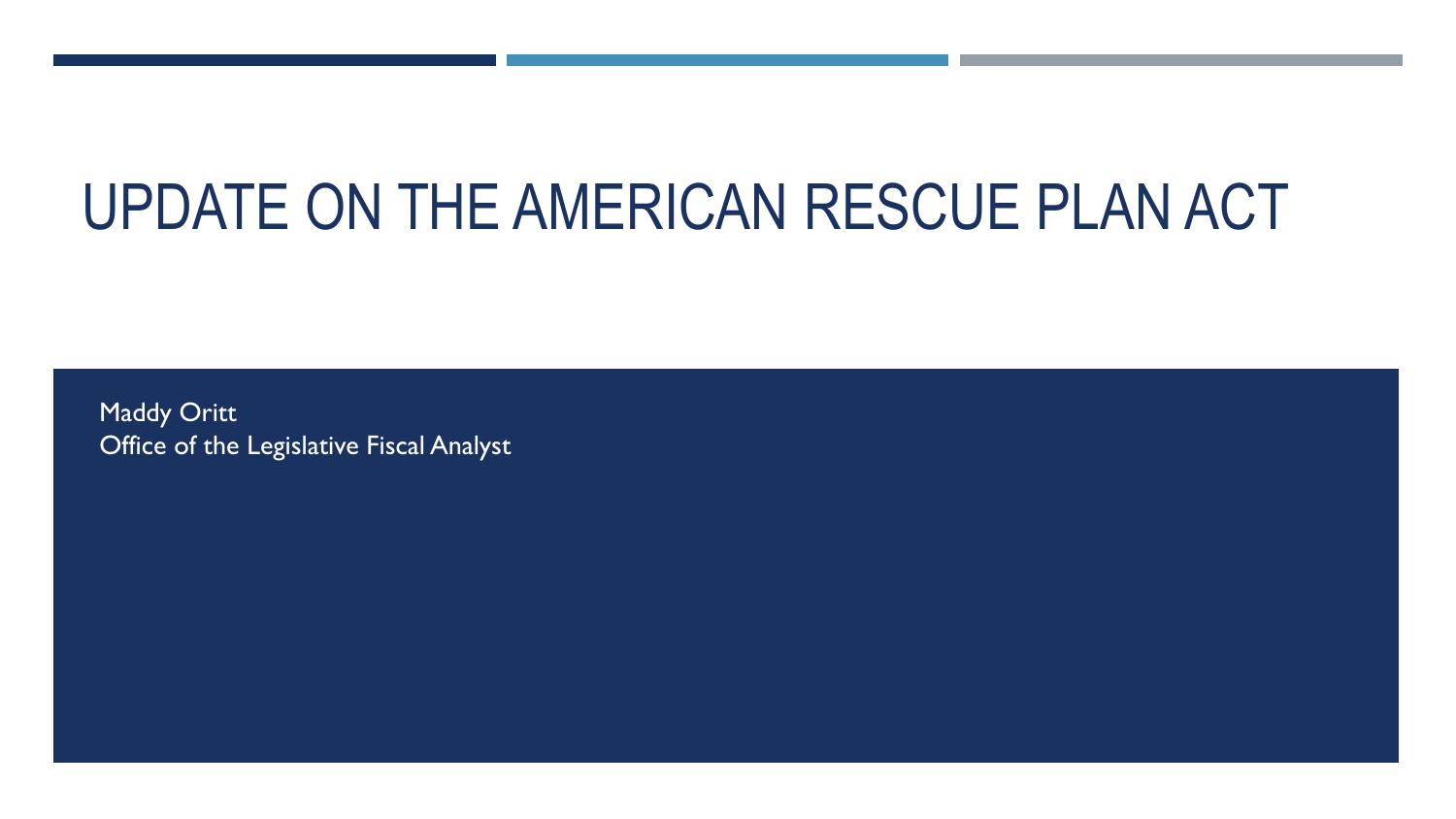### UPDATE ON THE AMERICAN RESCUE PLAN ACT

**Maddy Oritt** Office of the Legislative Fiscal Analyst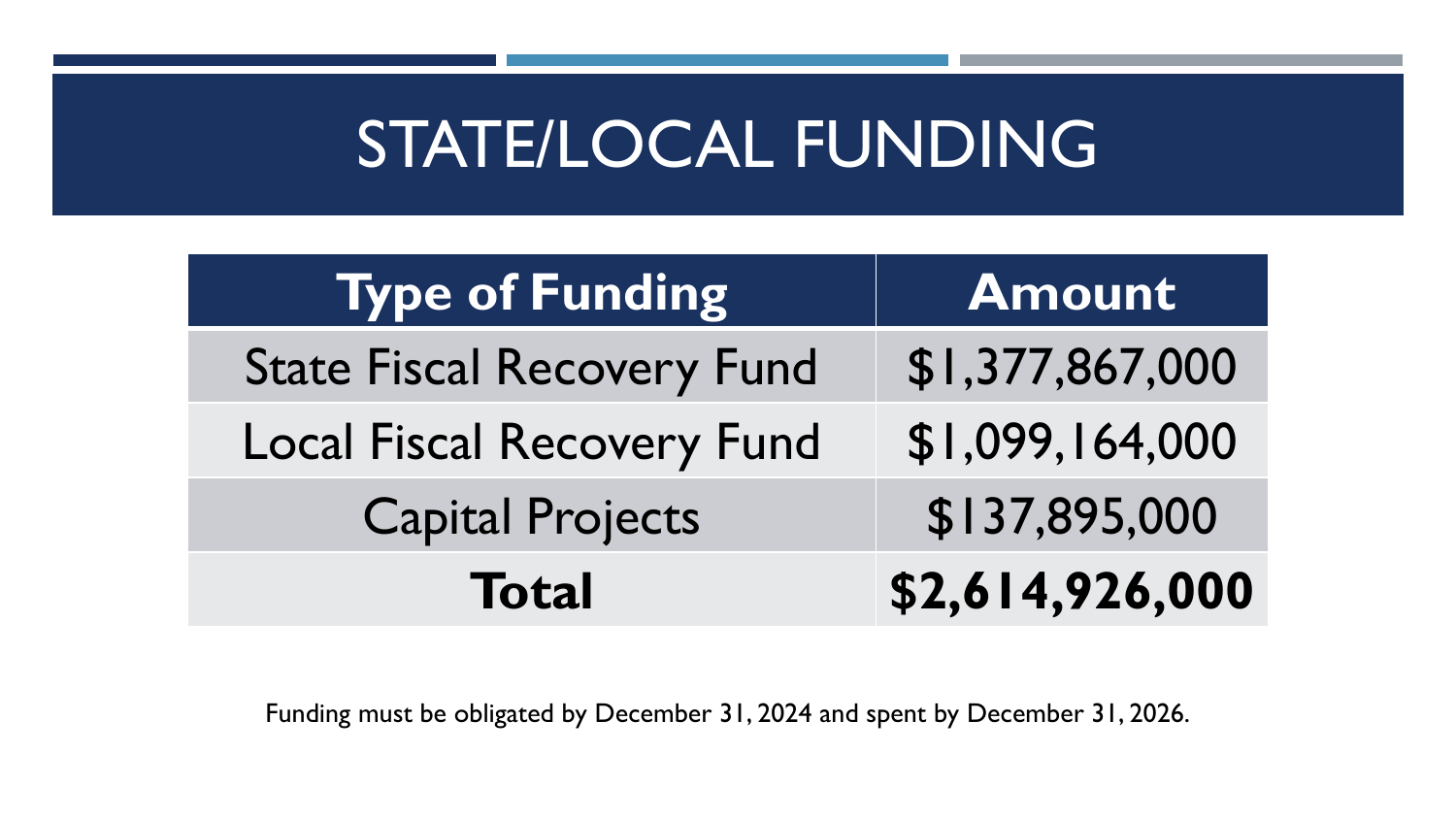### STATE/LOCAL FUNDING

| <b>Type of Funding</b>            | <b>Amount</b>   |
|-----------------------------------|-----------------|
| <b>State Fiscal Recovery Fund</b> | \$1,377,867,000 |
| <b>Local Fiscal Recovery Fund</b> | \$1,099,164,000 |
| <b>Capital Projects</b>           | \$137,895,000   |
| <b>Total</b>                      | \$2,614,926,000 |

Funding must be obligated by December 31, 2024 and spent by December 31, 2026.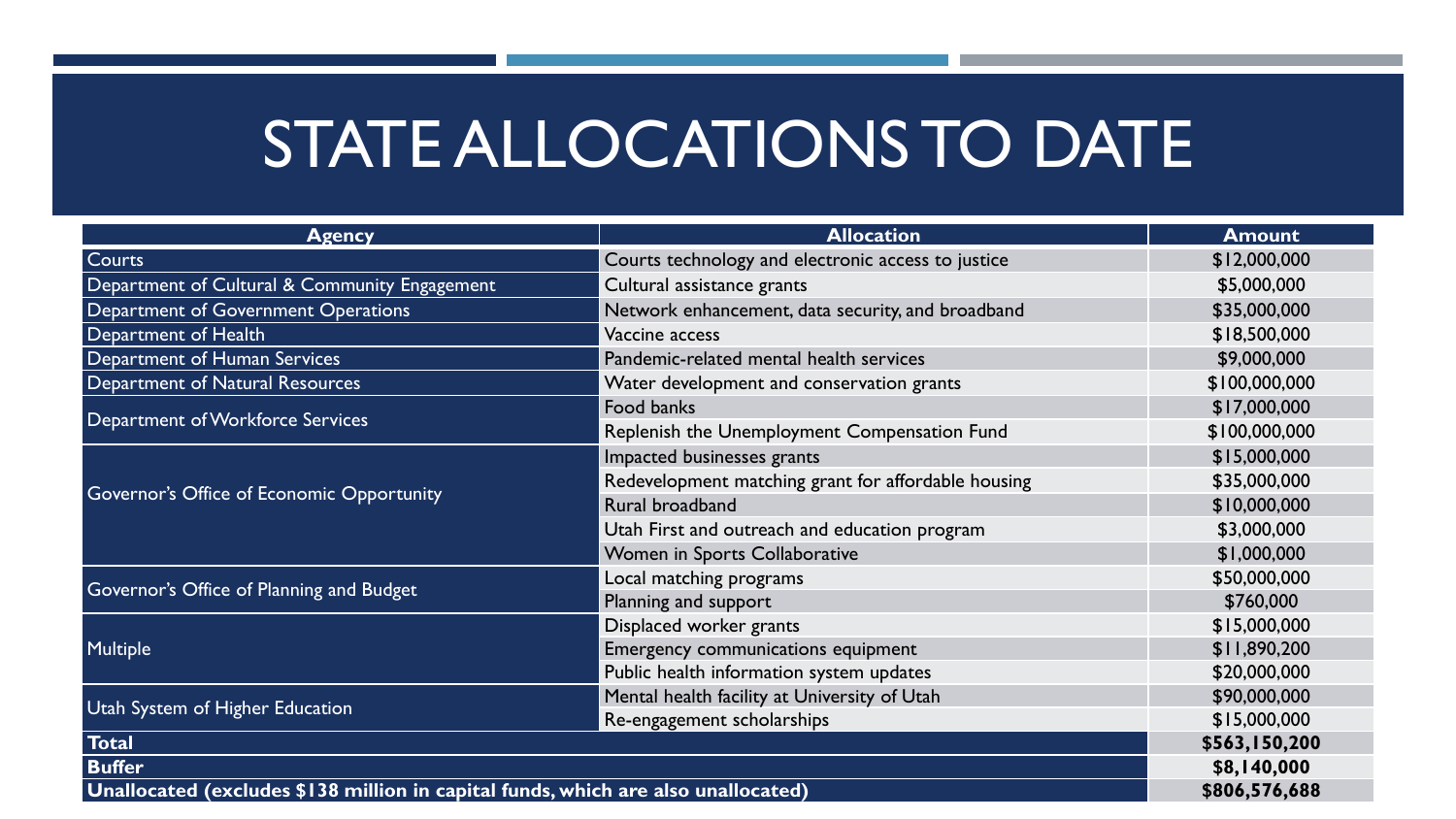### STATE ALLOCATIONS TO DATE

| <b>Agency</b>                                                                     | <b>Allocation</b>                                   | <b>Amount</b> |
|-----------------------------------------------------------------------------------|-----------------------------------------------------|---------------|
| Courts                                                                            | Courts technology and electronic access to justice  | \$12,000,000  |
| Department of Cultural & Community Engagement                                     | Cultural assistance grants                          | \$5,000,000   |
| Department of Government Operations                                               | Network enhancement, data security, and broadband   | \$35,000,000  |
| Department of Health                                                              | Vaccine access                                      | \$18,500,000  |
| Department of Human Services                                                      | Pandemic-related mental health services             | \$9,000,000   |
| Department of Natural Resources                                                   | Water development and conservation grants           | \$100,000,000 |
| Department of Workforce Services                                                  | Food banks                                          | \$17,000,000  |
|                                                                                   | Replenish the Unemployment Compensation Fund        | \$100,000,000 |
| Governor's Office of Economic Opportunity                                         | Impacted businesses grants                          | \$15,000,000  |
|                                                                                   | Redevelopment matching grant for affordable housing | \$35,000,000  |
|                                                                                   | Rural broadband                                     | \$10,000,000  |
|                                                                                   | Utah First and outreach and education program       | \$3,000,000   |
|                                                                                   | Women in Sports Collaborative                       | \$1,000,000   |
| Governor's Office of Planning and Budget                                          | Local matching programs                             | \$50,000,000  |
|                                                                                   | Planning and support                                | \$760,000     |
| <b>Multiple</b>                                                                   | Displaced worker grants                             | \$15,000,000  |
|                                                                                   | Emergency communications equipment                  | \$11,890,200  |
|                                                                                   | Public health information system updates            | \$20,000,000  |
| Utah System of Higher Education                                                   | Mental health facility at University of Utah        | \$90,000,000  |
|                                                                                   | Re-engagement scholarships                          | \$15,000,000  |
| <b>Total</b>                                                                      |                                                     | \$563,150,200 |
| <b>Buffer</b>                                                                     |                                                     | \$8,140,000   |
| Unallocated (excludes \$138 million in capital funds, which are also unallocated) |                                                     | \$806,576,688 |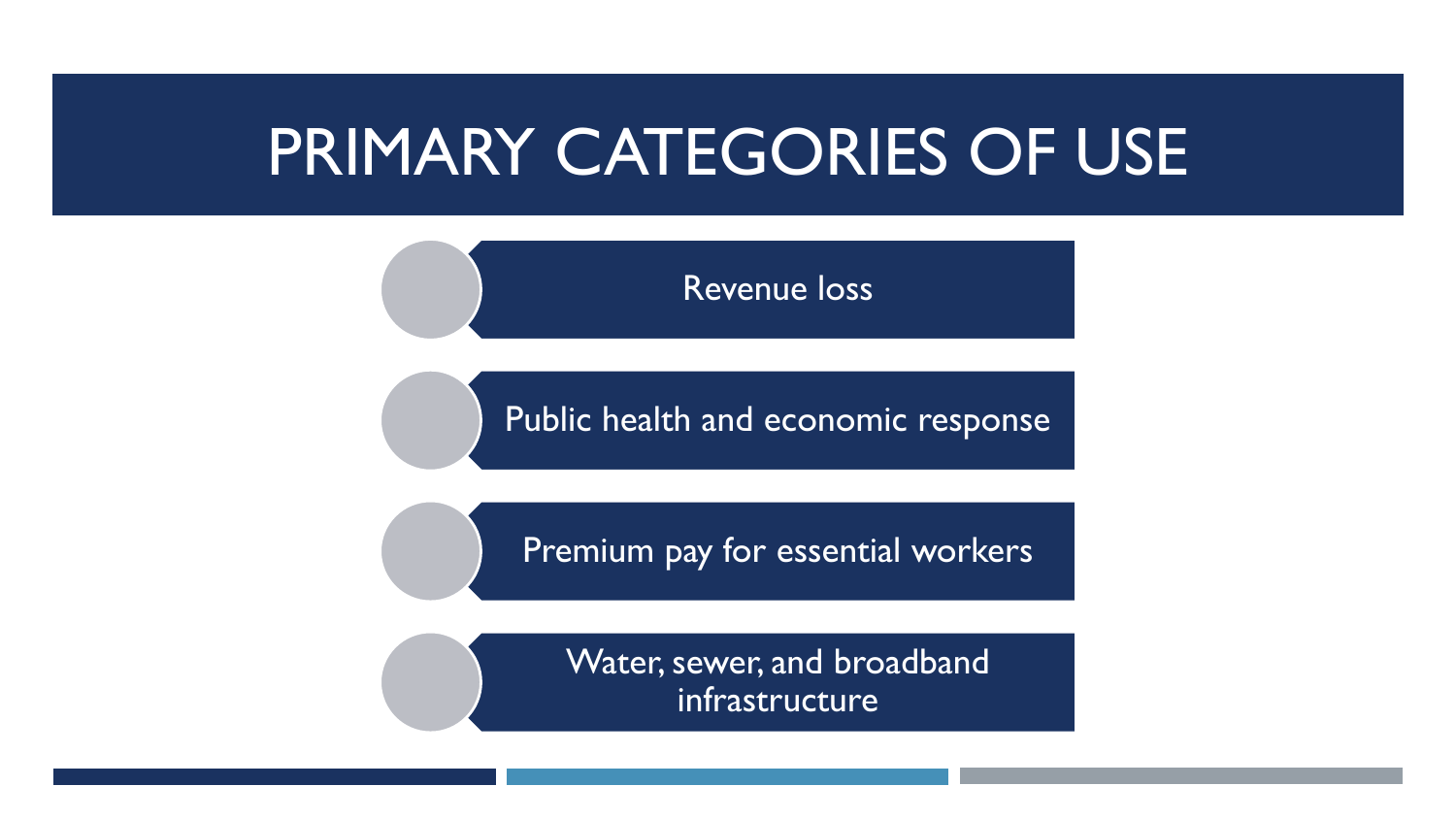### PRIMARY CATEGORIES OF USE

Revenue loss

Public health and economic response

Premium pay for essential workers

Water, sewer, and broadband infrastructure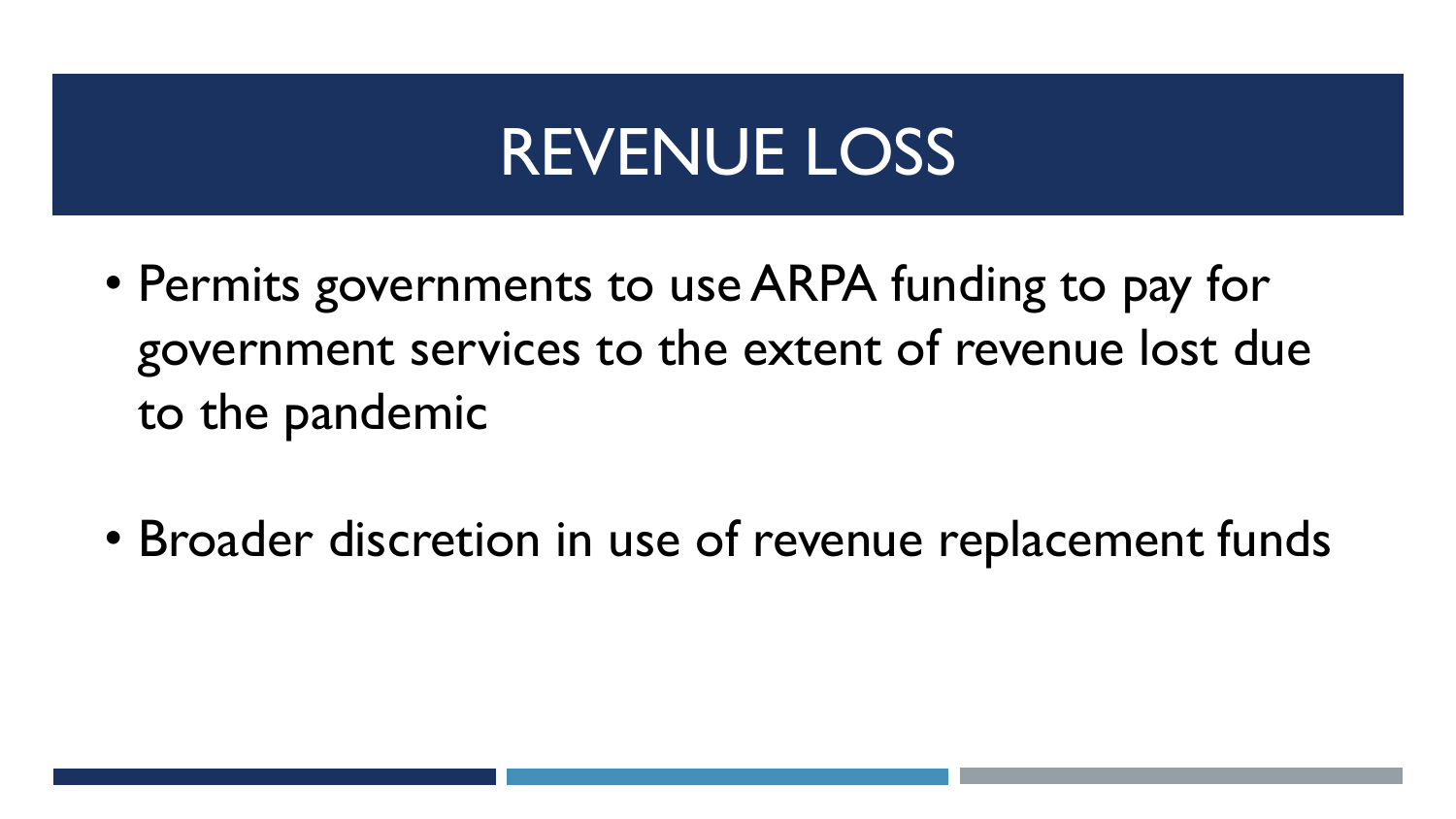### REVENUE LOSS

- Permits governments to use ARPA funding to pay for government services to the extent of revenue lost due to the pandemic
- Broader discretion in use of revenue replacement funds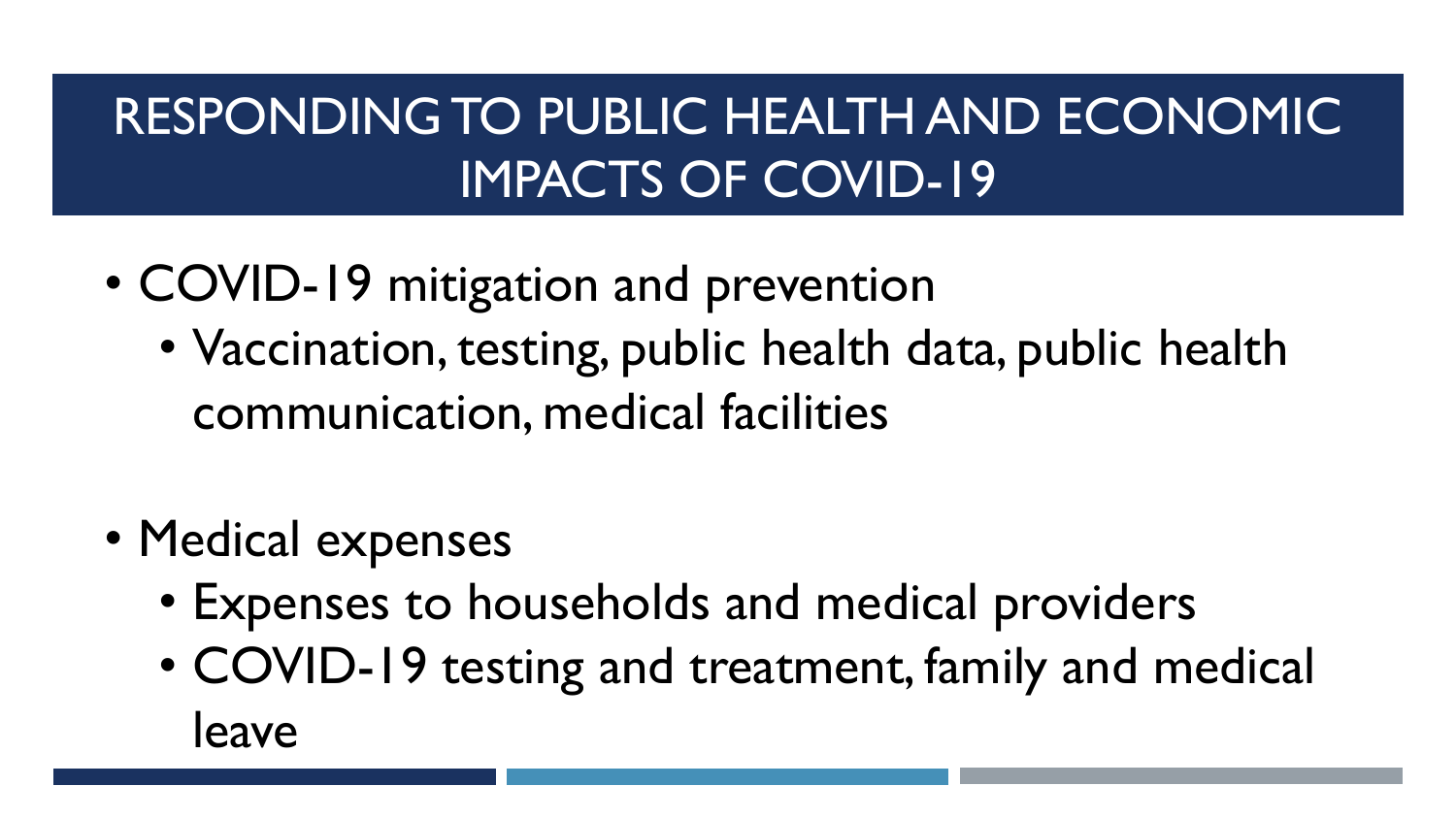### RESPONDING TO PUBLIC HEALTH AND ECONOMIC IMPACTS OF COVID-19

- COVID-19 mitigation and prevention
	- Vaccination, testing, public health data, public health communication, medical facilities
- Medical expenses
	- Expenses to households and medical providers
	- COVID-19 testing and treatment, family and medical leave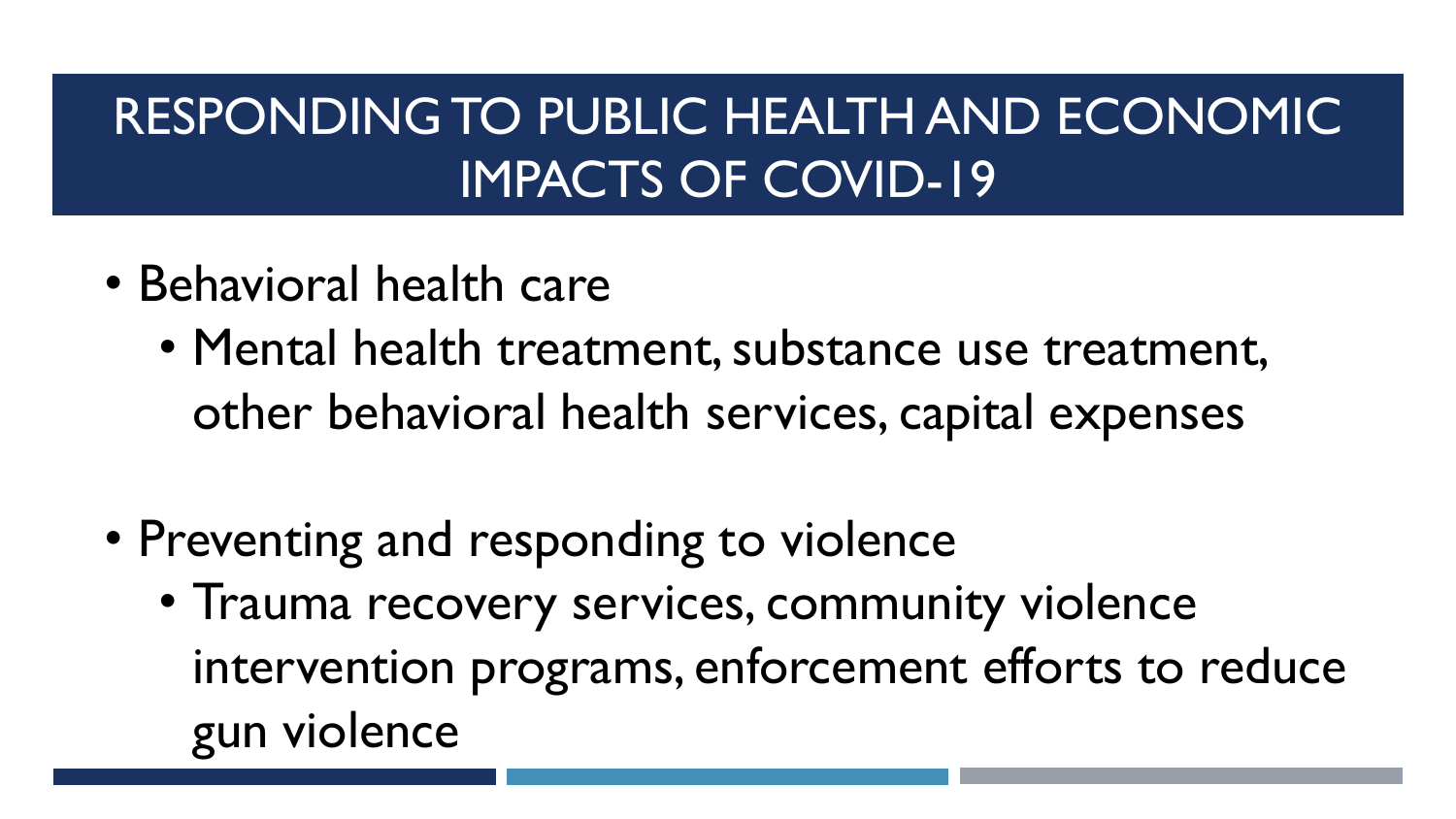### RESPONDING TO PUBLIC HEALTH AND ECONOMIC IMPACTS OF COVID-19

- Behavioral health care
	- Mental health treatment, substance use treatment, other behavioral health services, capital expenses
- Preventing and responding to violence
	- Trauma recovery services, community violence intervention programs, enforcement efforts to reduce gun violence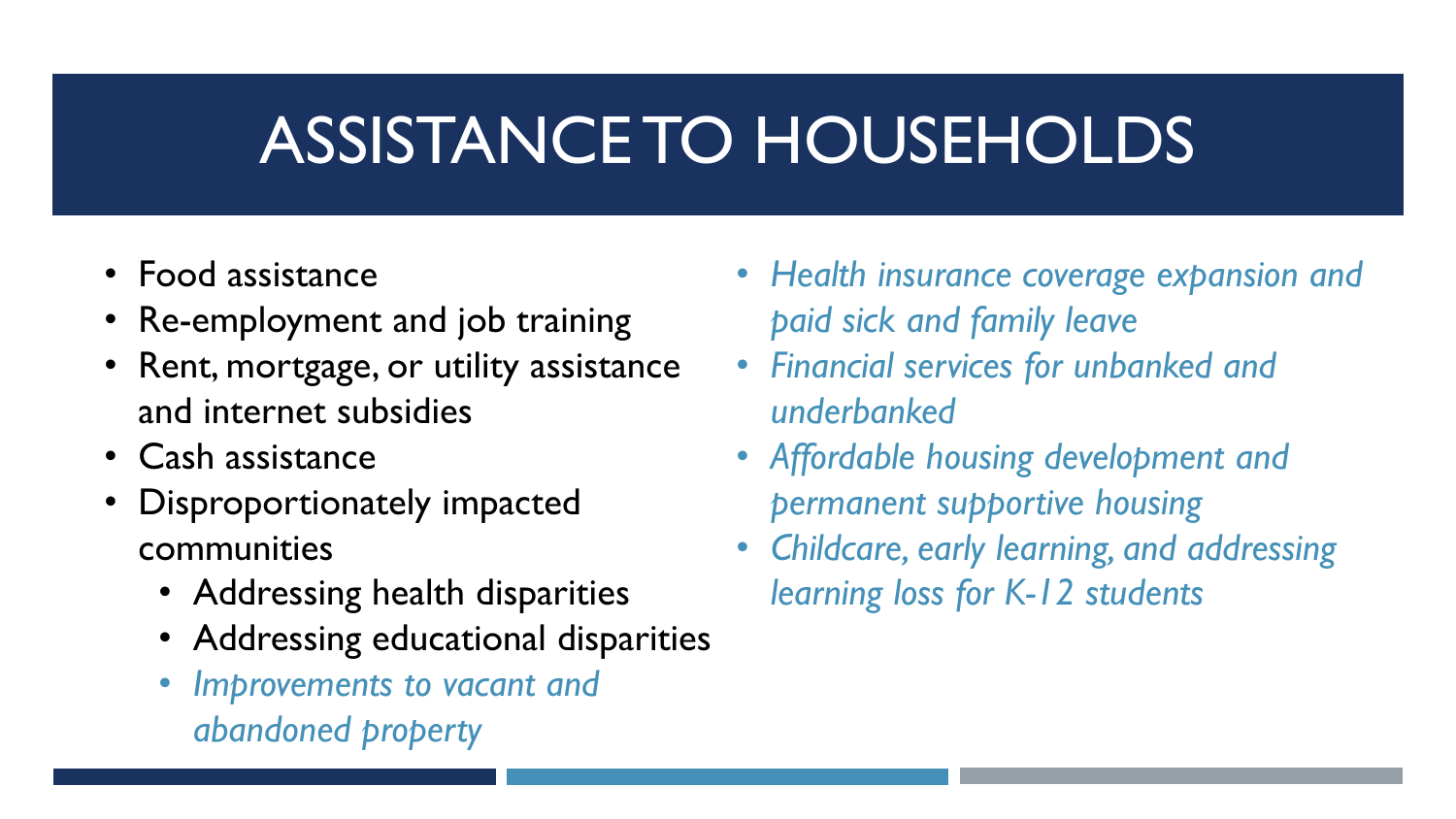# ASSISTANCE TO HOUSEHOLDS

- Food assistance
- Re-employment and job training
- Rent, mortgage, or utility assistance and internet subsidies
- Cash assistance
- Disproportionately impacted communities
	- Addressing health disparities
	- Addressing educational disparities
	- *Improvements to vacant and abandoned property*
- *Health insurance coverage expansion and paid sick and family leave*
- *Financial services for unbanked and underbanked*
- *Affordable housing development and permanent supportive housing*
- *Childcare, early learning, and addressing learning loss for K-12 students*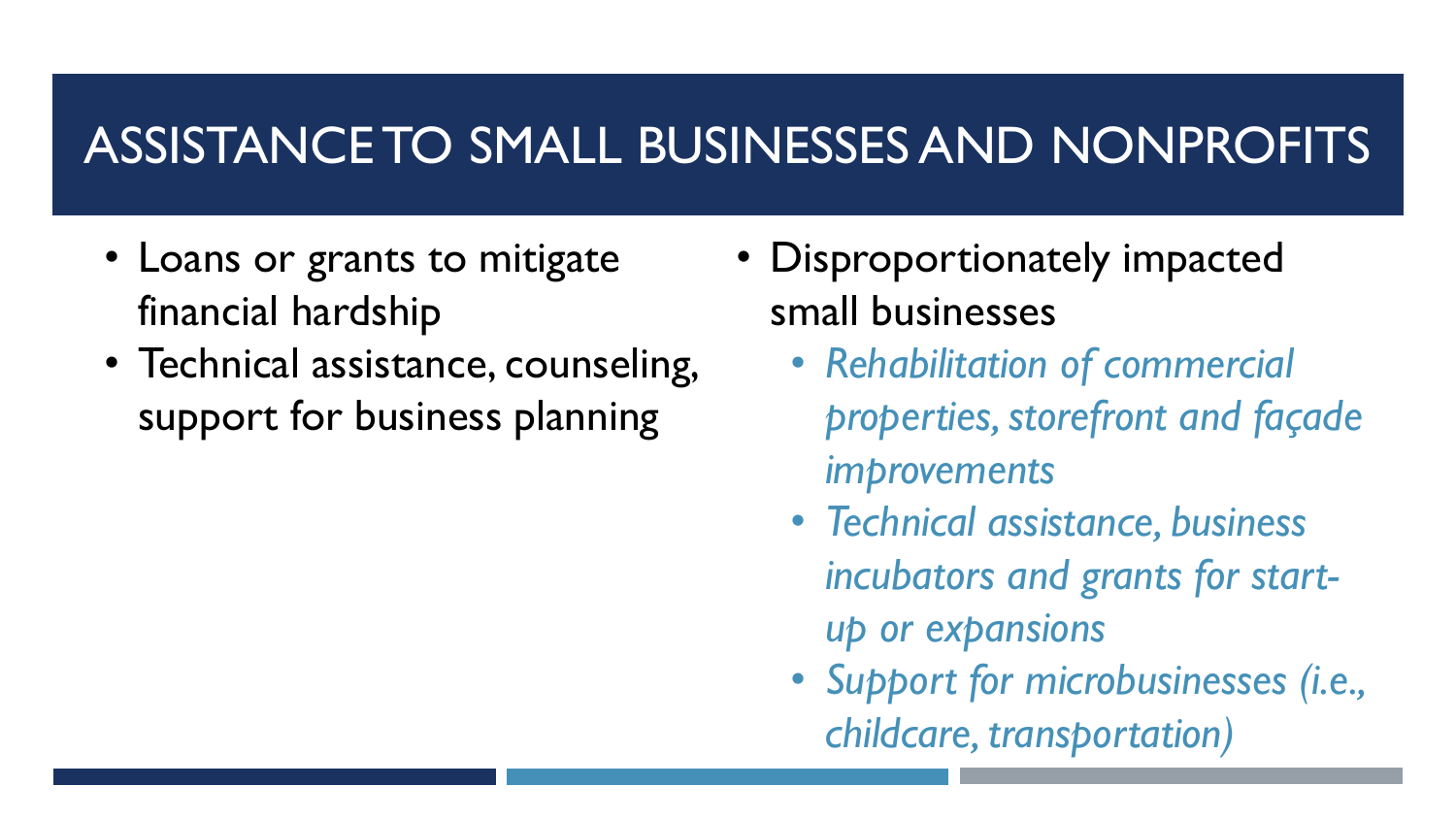#### ASSISTANCE TO SMALL BUSINESSES AND NONPROFITS

- Loans or grants to mitigate financial hardship
- Technical assistance, counseling, support for business planning
- Disproportionately impacted small businesses
	- *Rehabilitation of commercial properties, storefront and façade improvements*
	- *Technical assistance, business incubators and grants for startup or expansions*
	- *Support for microbusinesses (i.e., childcare, transportation)*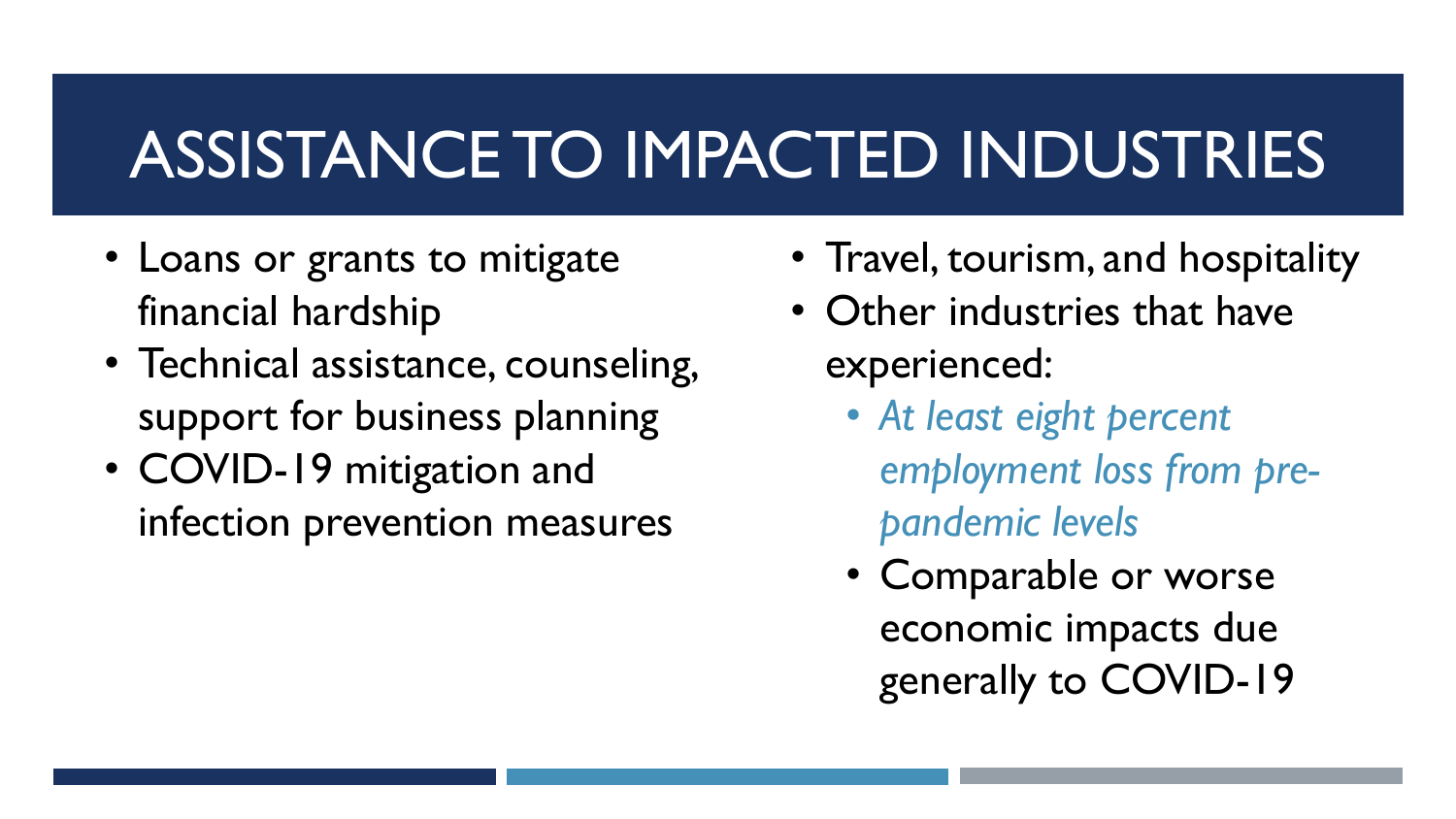# ASSISTANCE TO IMPACTED INDUSTRIES

- Loans or grants to mitigate financial hardship
- Technical assistance, counseling, support for business planning
- COVID-19 mitigation and infection prevention measures
- Travel, tourism, and hospitality
- Other industries that have experienced:
	- *At least eight percent employment loss from prepandemic levels*
	- Comparable or worse economic impacts due generally to COVID-19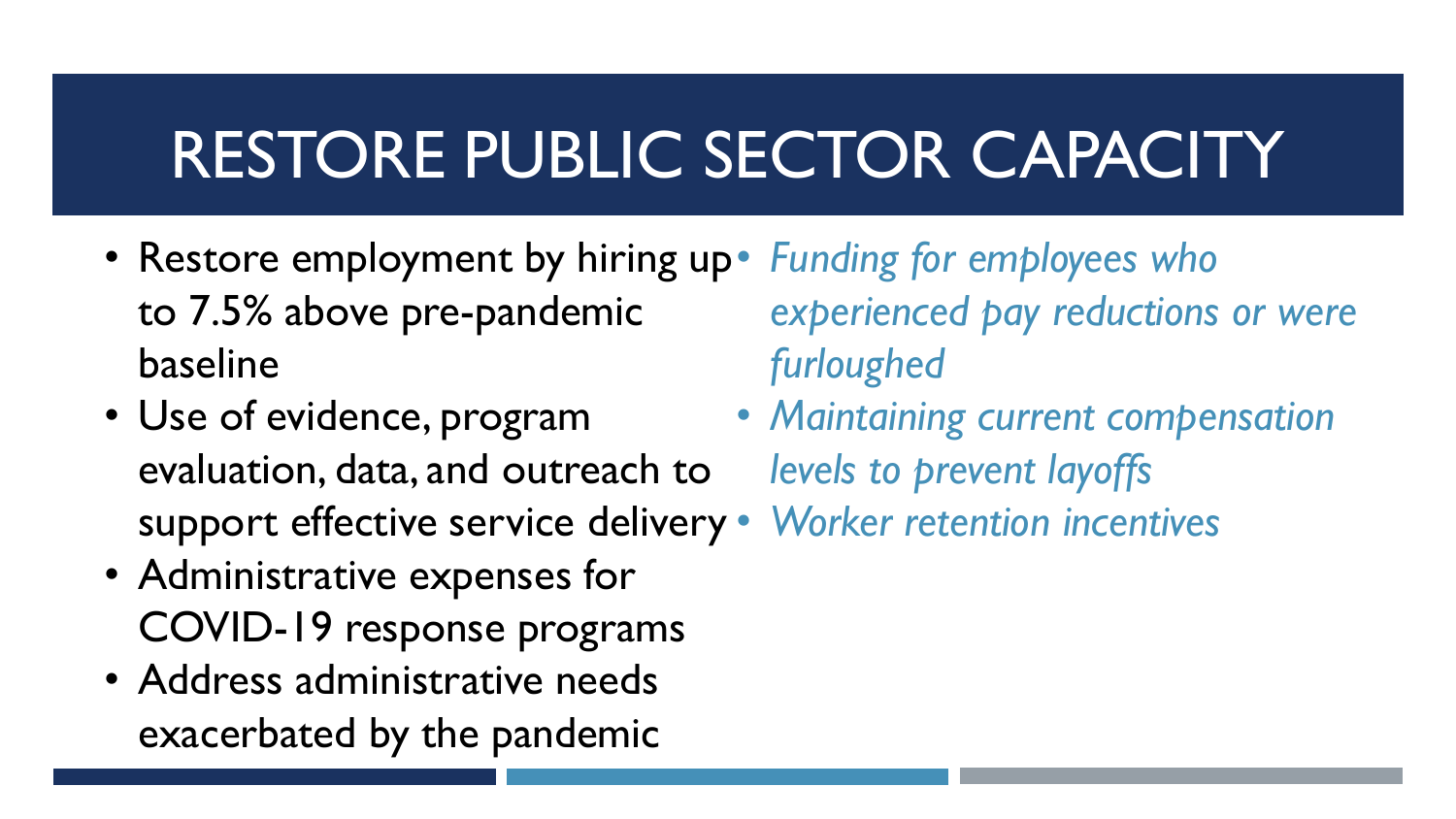# RESTORE PUBLIC SECTOR CAPACITY

- Restore employment by hiring up *Funding for employees who*  to 7.5% above pre-pandemic baseline *experienced pay reductions or were furloughed*
- Use of evidence, program evaluation, data, and outreach to support effective service delivery • *Worker retention incentives*
- Administrative expenses for COVID-19 response programs
- Address administrative needs exacerbated by the pandemic

• *Maintaining current compensation levels to prevent layoffs*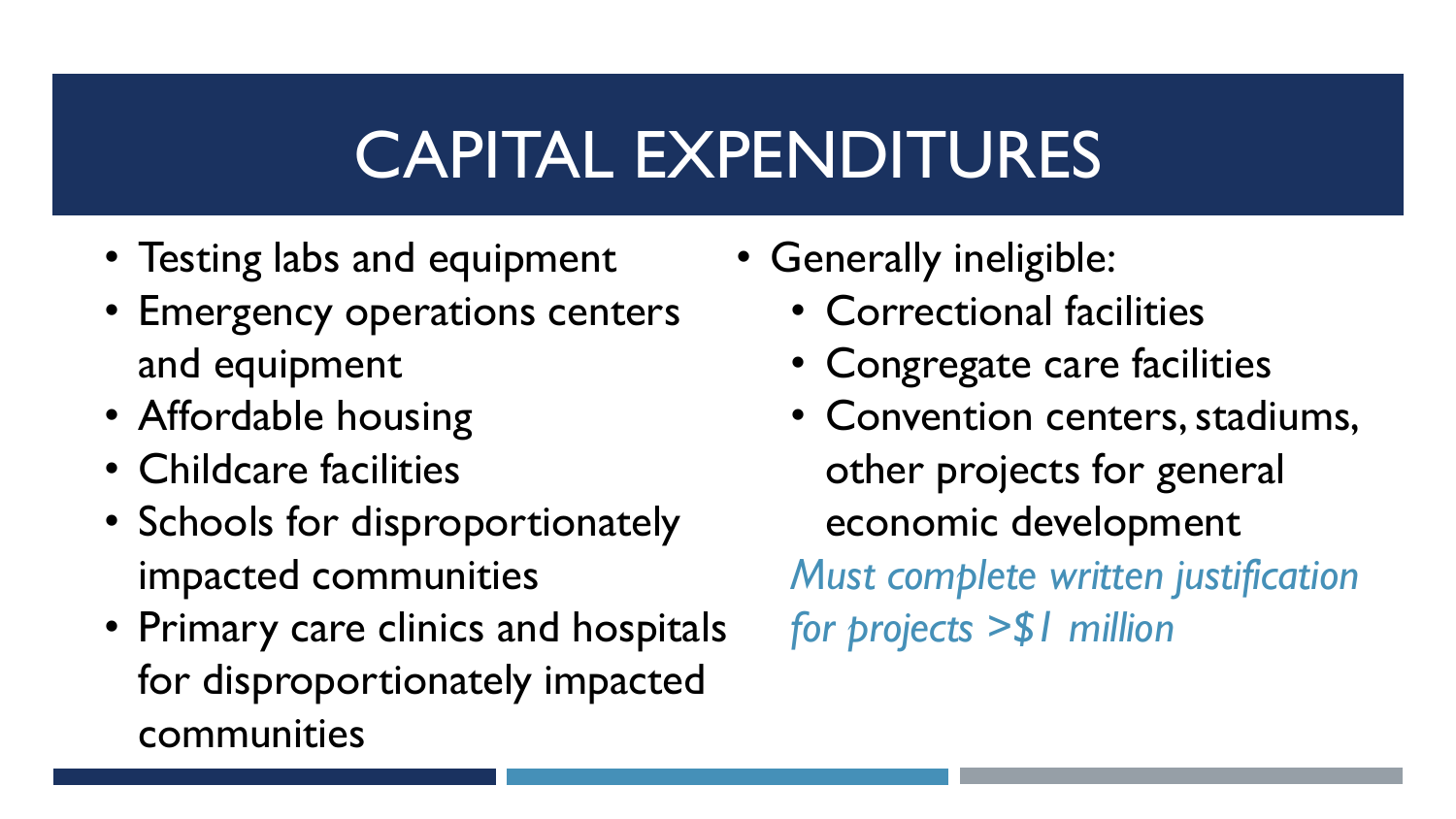# CAPITAL EXPENDITURES

- Testing labs and equipment
- Emergency operations centers and equipment
- Affordable housing
- Childcare facilities
- Schools for disproportionately impacted communities
- Primary care clinics and hospitals for disproportionately impacted communities
- Generally ineligible:
	- Correctional facilities
	- Congregate care facilities
	- Convention centers, stadiums, other projects for general economic development *Must complete written justification for projects >\$1 million*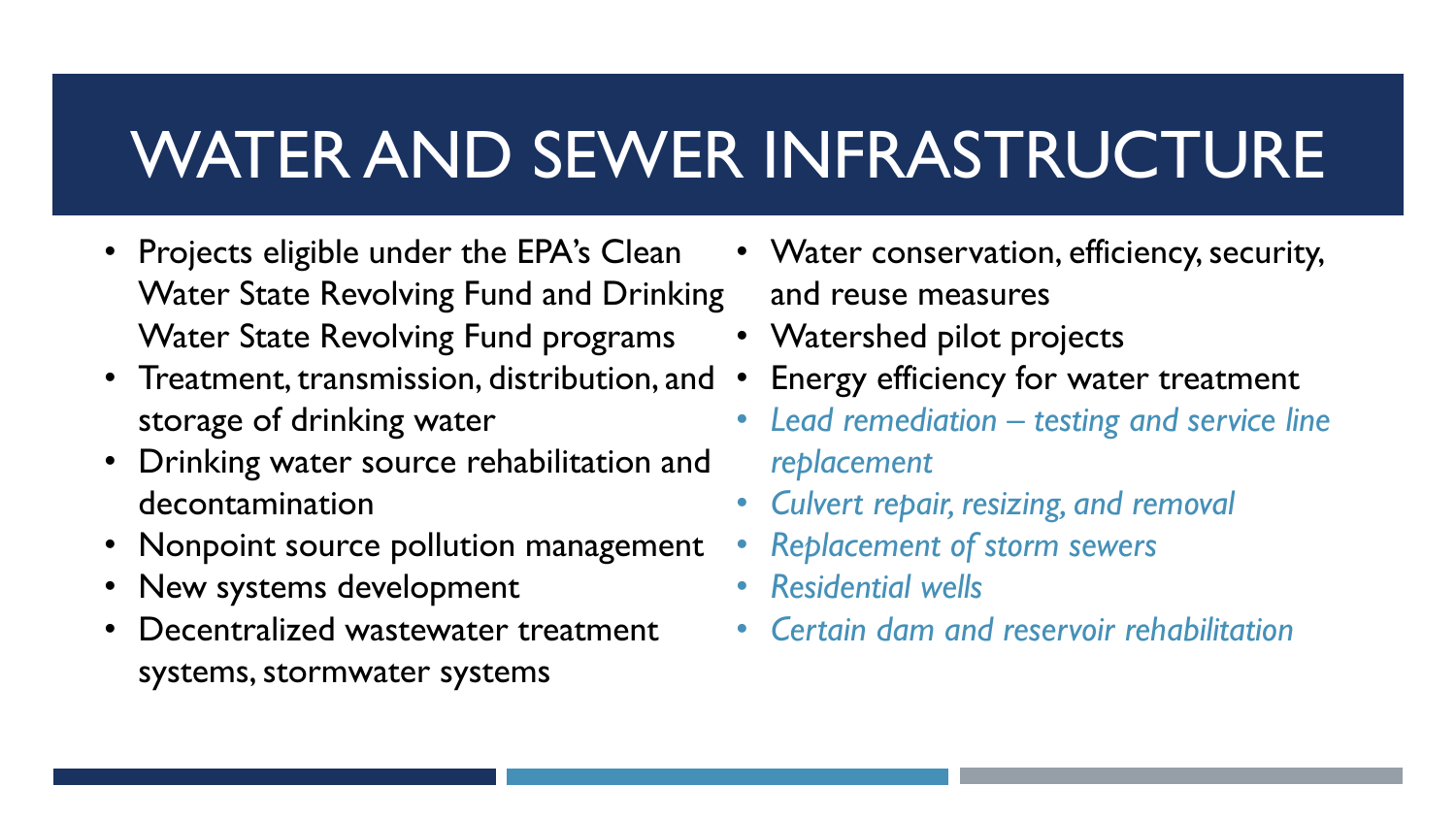# WATER AND SEWER INFRASTRUCTURE

- Projects eligible under the EPA's Clean Water State Revolving Fund and Drinking Water State Revolving Fund programs
- Treatment, transmission, distribution, and storage of drinking water
- Drinking water source rehabilitation and decontamination
- Nonpoint source pollution management
- New systems development
- Decentralized wastewater treatment systems, stormwater systems
- Water conservation, efficiency, security, and reuse measures
- Watershed pilot projects
- Energy efficiency for water treatment
- *Lead remediation – testing and service line replacement*
- *Culvert repair, resizing, and removal*
- *Replacement of storm sewers*
- *Residential wells*
- *Certain dam and reservoir rehabilitation*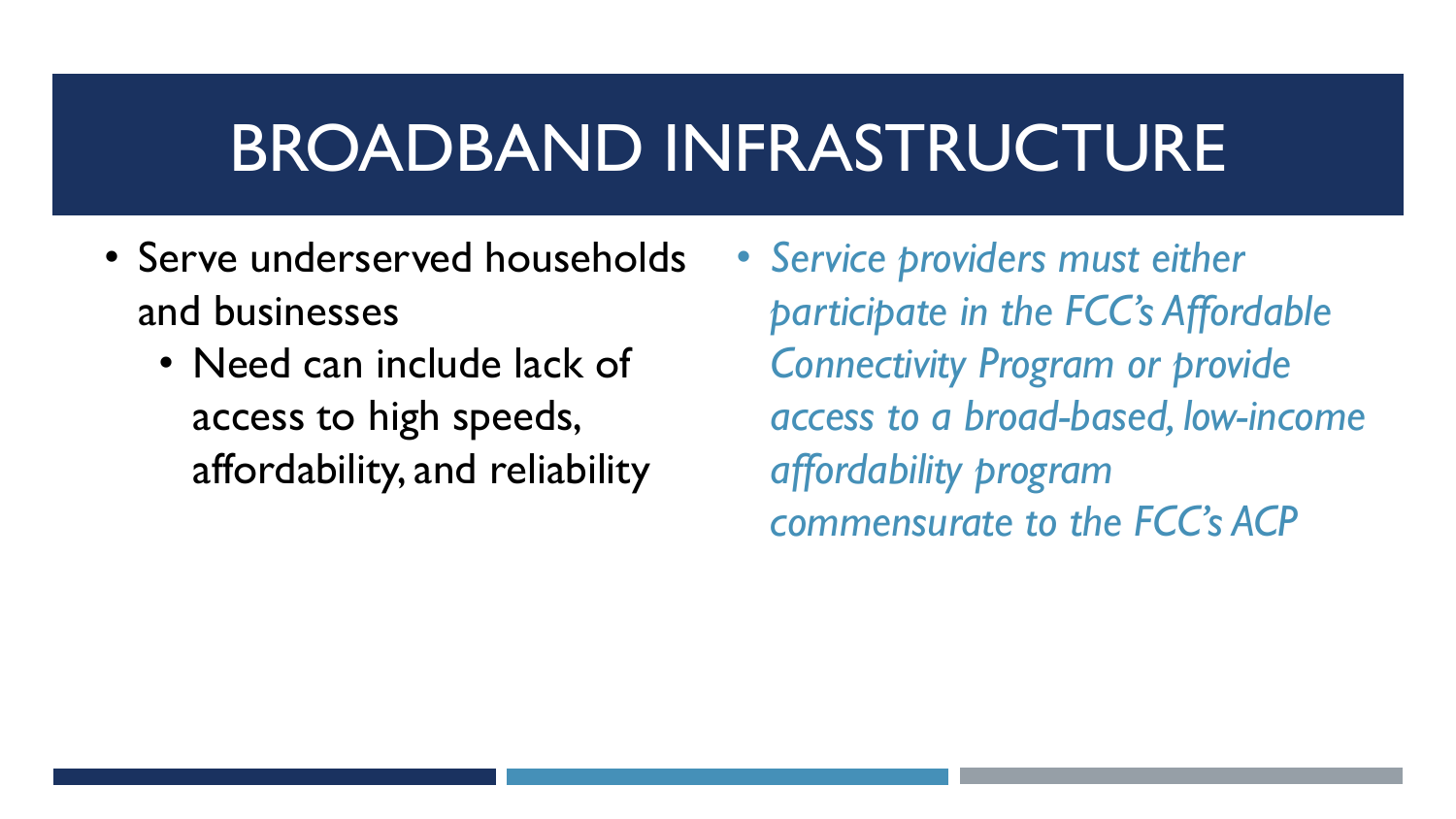### BROADBAND INFRASTRUCTURE

- Serve underserved households and businesses
	- Need can include lack of access to high speeds, affordability, and reliability
- *Service providers must either participate in the FCC's Affordable Connectivity Program or provide access to a broad-based, low-income affordability program commensurate to the FCC's ACP*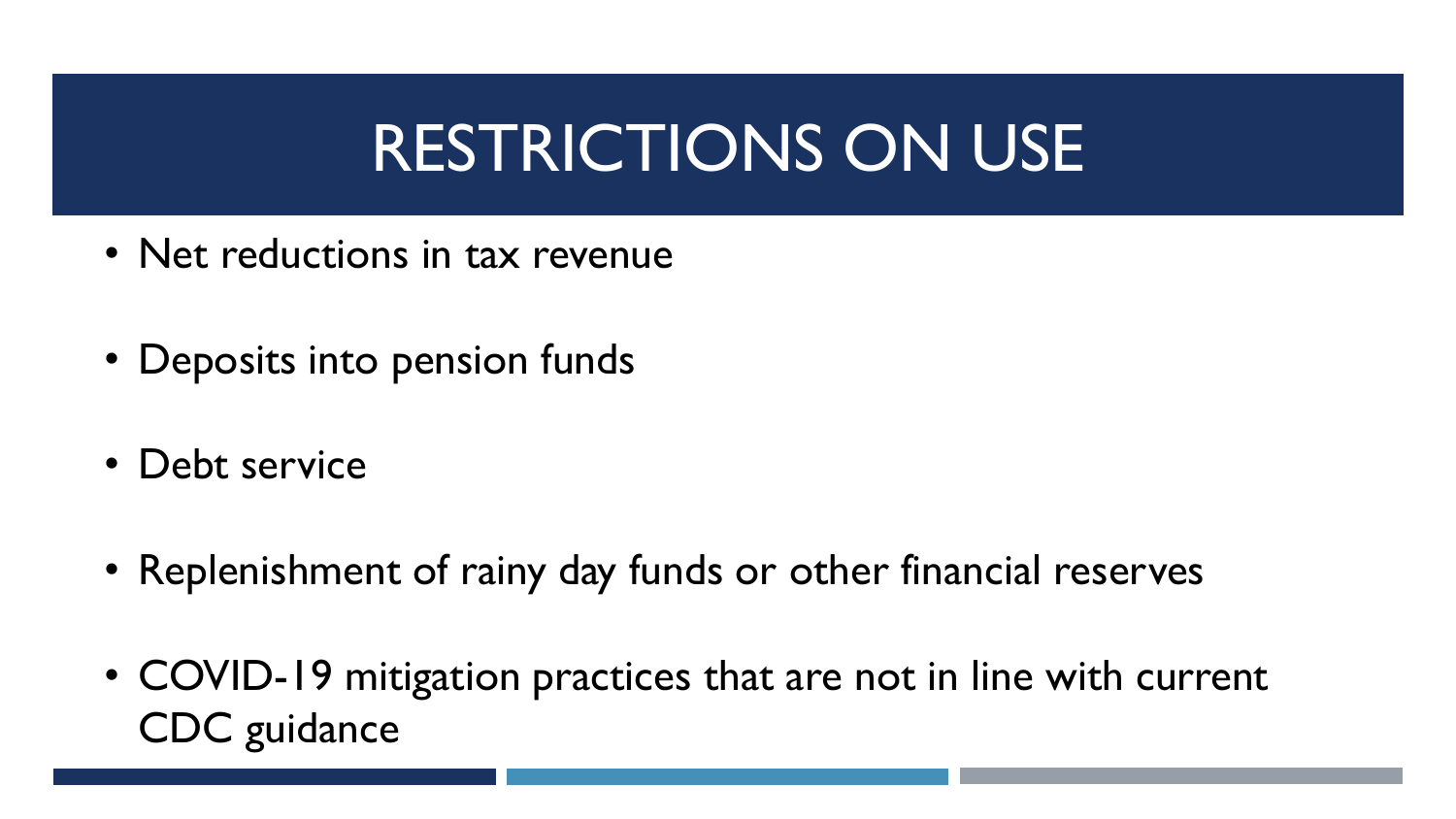# RESTRICTIONS ON USE

- Net reductions in tax revenue
- Deposits into pension funds
- Debt service
- Replenishment of rainy day funds or other financial reserves
- COVID-19 mitigation practices that are not in line with current CDC guidance